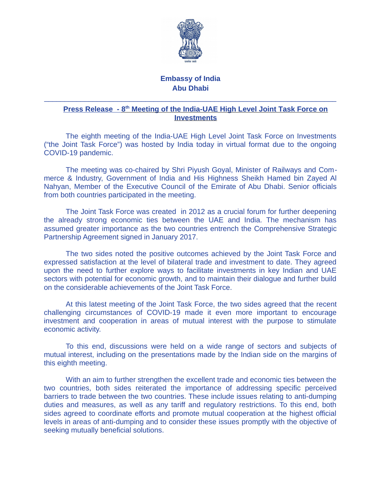

## **Embassy of India Abu Dhabi**

 $\_$  , and the set of the set of the set of the set of the set of the set of the set of the set of the set of the set of the set of the set of the set of the set of the set of the set of the set of the set of the set of th

## **Press Release - 8<sup>th</sup> Meeting of the India-UAE High Level Joint Task Force on Investments**

The eighth meeting of the India-UAE High Level Joint Task Force on Investments ("the Joint Task Force") was hosted by India today in virtual format due to the ongoing COVID-19 pandemic.

The meeting was co-chaired by Shri Piyush Goyal, Minister of Railways and Commerce & Industry, Government of India and His Highness Sheikh Hamed bin Zayed Al Nahyan, Member of the Executive Council of the Emirate of Abu Dhabi. Senior officials from both countries participated in the meeting.

The Joint Task Force was created in 2012 as a crucial forum for further deepening the already strong economic ties between the UAE and India. The mechanism has assumed greater importance as the two countries entrench the Comprehensive Strategic Partnership Agreement signed in January 2017.

The two sides noted the positive outcomes achieved by the Joint Task Force and expressed satisfaction at the level of bilateral trade and investment to date. They agreed upon the need to further explore ways to facilitate investments in key Indian and UAE sectors with potential for economic growth, and to maintain their dialogue and further build on the considerable achievements of the Joint Task Force.

At this latest meeting of the Joint Task Force, the two sides agreed that the recent challenging circumstances of COVID-19 made it even more important to encourage investment and cooperation in areas of mutual interest with the purpose to stimulate economic activity.

To this end, discussions were held on a wide range of sectors and subjects of mutual interest, including on the presentations made by the Indian side on the margins of this eighth meeting.

With an aim to further strengthen the excellent trade and economic ties between the two countries, both sides reiterated the importance of addressing specific perceived barriers to trade between the two countries. These include issues relating to anti-dumping duties and measures, as well as any tariff and regulatory restrictions. To this end, both sides agreed to coordinate efforts and promote mutual cooperation at the highest official levels in areas of anti-dumping and to consider these issues promptly with the objective of seeking mutually beneficial solutions.